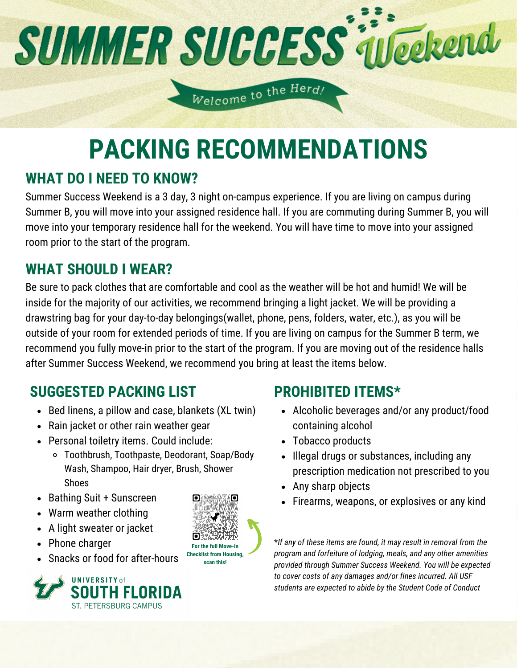# **SUMMER SUCCESS interend**

Welcome to the Herd!

# **PACKING RECOMMENDATIONS**

## **WHAT DO I NEED TO KNOW?**

Summer Success Weekend is a 3 day, 3 night on-campus experience. If you are living on campus during Summer B, you will move into your assigned residence hall. If you are commuting during Summer B, you will move into your temporary residence hall for the weekend. You will have time to move into your assigned room prior to the start of the program.

## **WHAT SHOULD I WEAR?**

Be sure to pack clothes that are comfortable and cool as the weather will be hot and humid! We will be inside for the majority of our activities, we recommend bringing a light jacket. We will be providing a drawstring bag for your day-to-day belongings(wallet, phone, pens, folders, water, etc.), as you will be outside of your room for extended periods of time. If you are living on campus for the Summer B term, we recommend you fully move-in prior to the start of the program. If you are moving out of the residence halls after Summer Success Weekend, we recommend you bring at least the items below.

## **SUGGESTED PACKING LIST**

- Bed linens, a pillow and case, blankets (XL twin)
- Rain jacket or other rain weather gear
- Personal toiletry items. Could include:
	- Toothbrush, Toothpaste, Deodorant, Soap/Body Wash, Shampoo, Hair dryer, Brush, Shower Shoes
- Bathing Suit + Sunscreen
- Warm weather clothing
- A light sweater or jacket
- Phone charger
- Snacks or food for after-hours





## **PROHIBITED ITEMS\***

- Alcoholic beverages and/or any product/food containing alcohol
- Tobacco products
- Illegal drugs or substances, including any prescription medication not prescribed to you
- Any sharp objects
- Firearms, weapons, or explosives or any kind

\**If any of these items are found, it may result in removal from the program and forfeiture of lodging, meals, and any other amenities provided through Summer Success Weekend. You will be expected to cover costs of any damages and/or fines incurred. All USF students are expected to abide by the Student Code of Conduct*